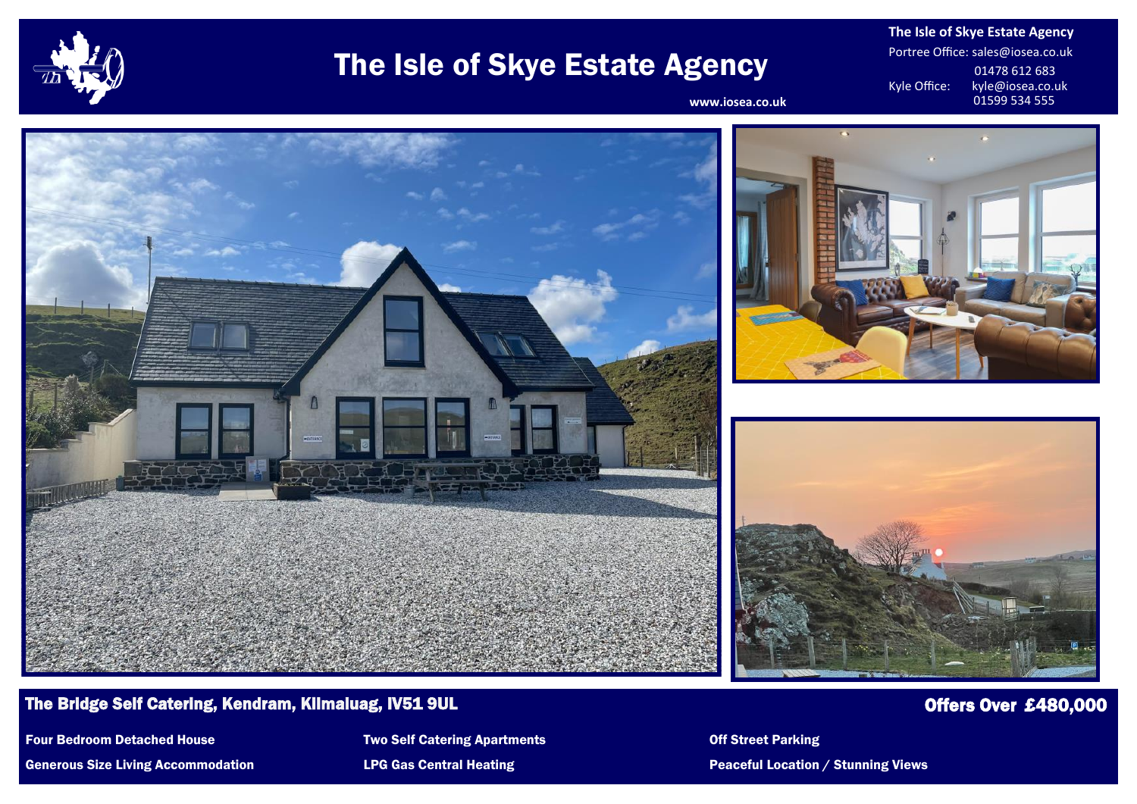

# The Isle of Skye Estate Agency

**The Isle of Skye Estate Agency** Portree Office: sales@iosea.co.uk 01478 612 683<br>Kyle Office: kyle@iosea.co.u kyle@iosea.co.uk<br>01599 534 555

www.iosea.co.uk



### The Bridge Self Catering, Kendram, Kilmaluag, IV51 9UL Offers Over  $\pm 480,000$

Generous Size Living Accommodation **LPG Gas Central Heating Peaceful Location / Stunning Views** Peaceful Location / Stunning Views

Four Bedroom Detached House Two Self Catering Apartments Communication Contract Parking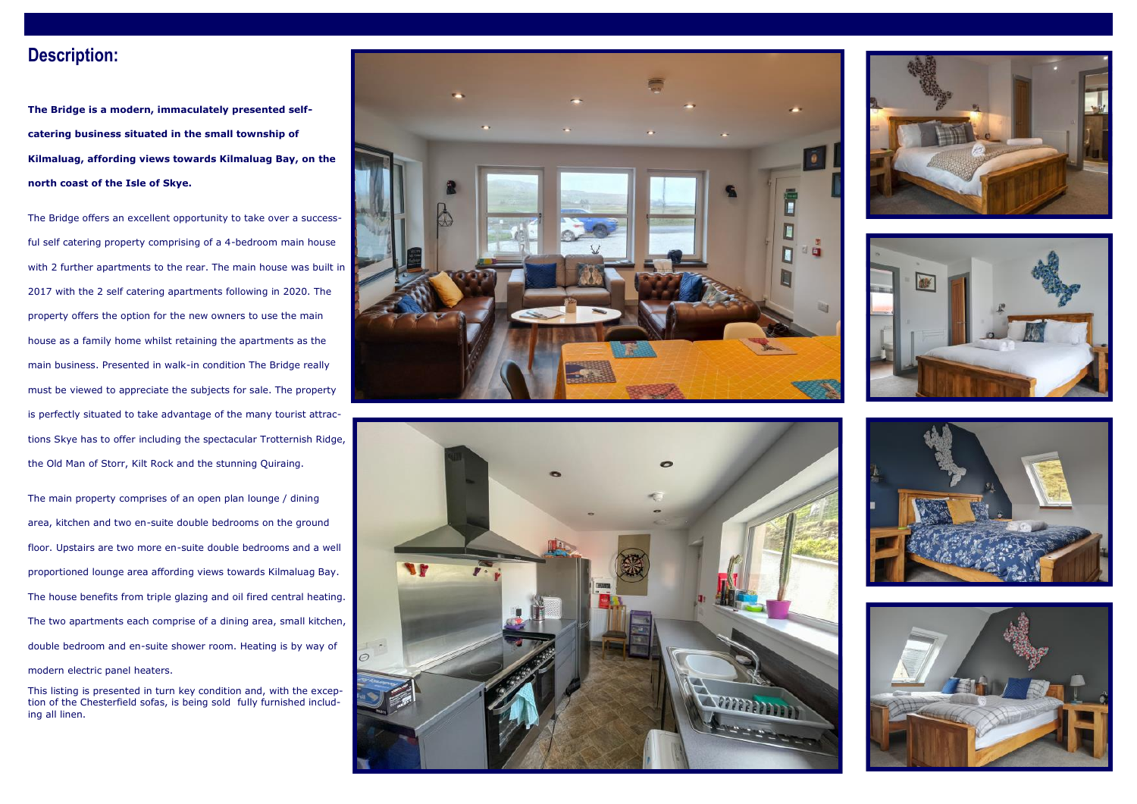### **Description:**

**The Bridge is a modern, immaculately presented selfcatering business situated in the small township of Kilmaluag, affording views towards Kilmaluag Bay, on the north coast of the Isle of Skye.**

The Bridge offers an excellent opportunity to take over a successful self catering property comprising of a 4-bedroom main house with 2 further apartments to the rear. The main house was built in 2017 with the 2 self catering apartments following in 2020. The property offers the option for the new owners to use the main house as a family home whilst retaining the apartments as the main business. Presented in walk-in condition The Bridge really must be viewed to appreciate the subjects for sale. The property is perfectly situated to take advantage of the many tourist attractions Skye has to offer including the spectacular Trotternish Ridge, the Old Man of Storr, Kilt Rock and the stunning Quiraing.

The main property comprises of an open plan lounge / dining area, kitchen and two en-suite double bedrooms on the ground floor. Upstairs are two more en-suite double bedrooms and a well proportioned lounge area affording views towards Kilmaluag Bay. The house benefits from triple glazing and oil fired central heating. The two apartments each comprise of a dining area, small kitchen, double bedroom and en-suite shower room. Heating is by way of modern electric panel heaters.

This listing is presented in turn key condition and, with the exception of the Chesterfield sofas, is being sold fully furnished including all linen.











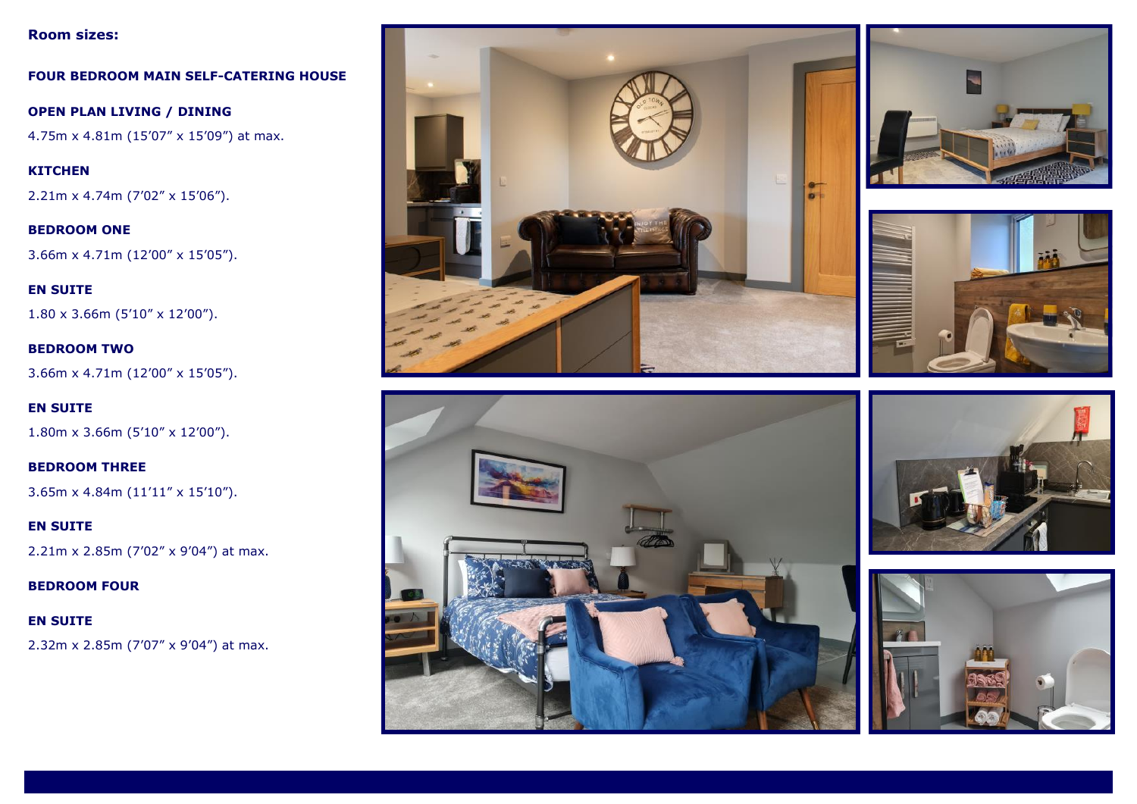#### **Room sizes:**

**FOUR BEDROOM MAIN SELF-CATERING HOUSE**

**OPEN PLAN LIVING / DINING** 4.75m x 4.81m (15'07" x 15'09") at max.

**KITCHEN** 2.21m x 4.74m (7'02" x 15'06").

**BEDROOM ONE** 3.66m x 4.71m (12'00" x 15'05").

**EN SUITE** 1.80 x 3.66m (5'10" x 12'00").

**BEDROOM TWO** 3.66m x 4.71m (12'00" x 15'05").

**EN SUITE** 1.80m x 3.66m (5'10" x 12'00").

**BEDROOM THREE** 3.65m x 4.84m (11'11" x 15'10").

**EN SUITE** 2.21m x 2.85m (7'02" x 9'04") at max.

**BEDROOM FOUR**

**EN SUITE** 2.32m x 2.85m (7'07" x 9'04") at max.